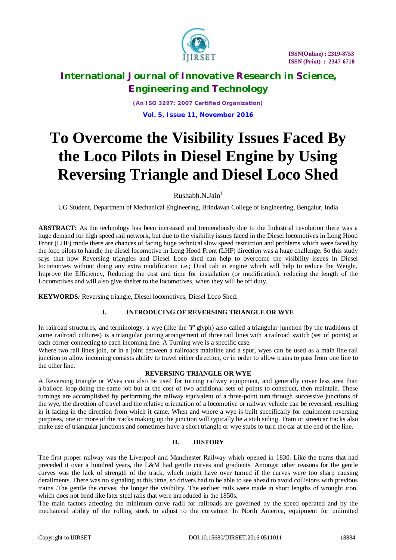

*(An ISO 3297: 2007 Certified Organization)* **Vol. 5, Issue 11, November 2016**

# **To Overcome the Visibility Issues Faced By the Loco Pilots in Diesel Engine by Using Reversing Triangle and Diesel Loco Shed**

 $Rushabh.N.Jain<sup>1</sup>$ 

UG Student, Department of Mechanical Engineering, Brindavan College of Engineering, Bengalur, India

ABSTRACT: As the technology has been increased and tremendously due to the Industrial revolution there was a huge demand for high speed rail network, but due to the visibility issues faced in the Diesel locomotives in Long Hood Front (LHF) mode there are chances of facing huge technical slow speed restriction and problems which were faced by the loco pilots to handle the diesel locomotive in Long Hood Front (LHF) direction was a huge challenge. So this study says that how Reversing triangles and Diesel Loco shed can help to overcome the visibility issues in Diesel locomotives without doing any extra modification i.e.; Dual cab in engine which will help to reduce the Weight, Improve the Efficiency, Reducing the cost and time for installation (or modification), reducing the length of the Locomotives and will also give shelter to the locomotives, when they will be off duty.

**KEYWORDS***:* Reversing triangle, Diesel locomotives, Diesel Loco Shed.

# **I. INTRODUCING OF REVERSING TRIANGLE OR WYE**

In railroad structures, and terminology, a wye (like the *'Y'* glyph) also called a triangular junction (by the traditions of some railroad cultures) is a triangular joining arrangement of three rail lines with a railroad switch (set of points) at each corner connecting to each incoming line. A Turning wye is a specific case.

Where two rail lines join, or in a joint between a railroads mainline and a spur, wyes can be used as a main line rail junction to allow incoming consists ability to travel either direction, or in order to allow trains to pass from one line to the other line.

### **REVERSING TRIANGLE OR WYE**

A Reversing triangle or Wyes can also be used for turning railway equipment, and generally cover less area than a balloon loop doing the same job but at the cost of two additional sets of points to construct, then maintain. These turnings are accomplished by performing the railway equivalent of a three-point turn through successive junctions of the wye, the direction of travel and the relative orientation of a locomotive or railway vehicle can be reversed, resulting in it facing in the direction from which it came. When and where a wye is built specifically for equipment reversing purposes, one or more of the tracks making up the junction will typically be a stub siding. Tram or streetcar tracks also make use of triangular junctions and sometimes have a short triangle or wye stubs to turn the car at the end of the line.

# **II. HISTORY**

The first proper railway was the Liverpool and Manchester Railway which opened in 1830. Like the trams that had preceded it over a hundred years, the L&M had gentle curves and gradients. Amongst other reasons for the gentle curves was the lack of strength of the track, which might have over turned if the curves were too sharp causing derailments. There was no signaling at this time, so drivers had to be able to see ahead to avoid collisions with previous trains .The gentle the curves, the longer the visibility. The earliest rails were made in short lengths of wrought iron, which does not bend like later steel rails that were introduced in the 1850s.

The main factors affecting the minimum curve radii for railroads are governed by the speed operated and by the mechanical ability of the rolling stock to adjust to the curvature. In North America, equipment for unlimited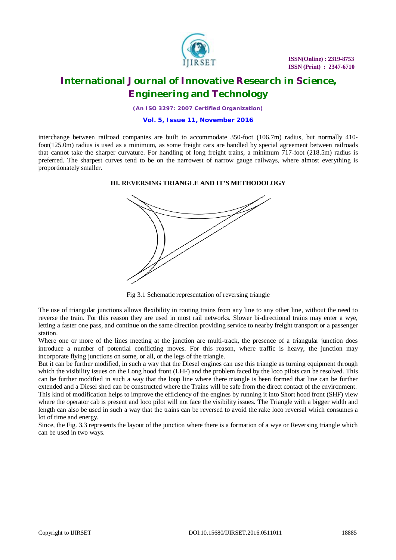

 **ISSN(Online) : 2319-8753 ISSN (Print) : 2347-6710**

# **International Journal of Innovative Research in Science, Engineering and Technology**

*(An ISO 3297: 2007 Certified Organization)*

### **Vol. 5, Issue 11, November 2016**

interchange between railroad companies are built to accommodate 350-foot (106.7m) radius, but normally 410 foot(125.0m) radius is used as a minimum, as some freight cars are handled by special agreement between railroads that cannot take the sharper curvature. For handling of long freight trains, a minimum 717-foot (218.5m) radius is preferred. The sharpest curves tend to be on the narrowest of narrow gauge railways, where almost everything is proportionately smaller.

#### **III. REVERSING TRIANGLE AND IT'S METHODOLOGY**



Fig 3.1 Schematic representation of reversing triangle

The use of triangular junctions allows flexibility in routing trains from any line to any other line, without the need to reverse the train. For this reason they are used in most rail networks. Slower bi-directional trains may enter a wye, letting a faster one pass, and continue on the same direction providing service to nearby freight transport or a passenger station.

Where one or more of the lines meeting at the junction are multi-track, the presence of a triangular junction does introduce a number of potential conflicting moves. For this reason, where traffic is heavy, the junction may incorporate flying junctions on some, or all, or the legs of the triangle.

But it can be further modified, in such a way that the Diesel engines can use this triangle as turning equipment through which the visibility issues on the Long hood front (LHF) and the problem faced by the loco pilots can be resolved. This can be further modified in such a way that the loop line where there triangle is been formed that line can be further extended and a Diesel shed can be constructed where the Trains will be safe from the direct contact of the environment. This kind of modification helps to improve the efficiency of the engines by running it into Short hood front (SHF) view where the operator cab is present and loco pilot will not face the visibility issues. The Triangle with a bigger width and length can also be used in such a way that the trains can be reversed to avoid the rake loco reversal which consumes a lot of time and energy.

Since, the Fig. 3.3 represents the layout of the junction where there is a formation of a wye or Reversing triangle which can be used in two ways.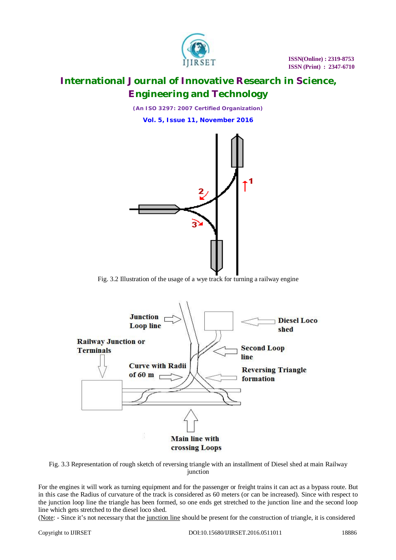

*(An ISO 3297: 2007 Certified Organization)*

**Vol. 5, Issue 11, November 2016**



Fig. 3.2 Illustration of the usage of a wye track for turning a railway engine



Fig. 3.3 Representation of rough sketch of reversing triangle with an installment of Diesel shed at main Railway junction

For the engines it will work as turning equipment and for the passenger or freight trains it can act as a bypass route. But in this case the Radius of curvature of the track is considered as 60 meters (or can be increased). Since with respect to the junction loop line the triangle has been formed, so one ends get stretched to the junction line and the second loop line which gets stretched to the diesel loco shed.

(Note: - Since it's not necessary that the junction line should be present for the construction of triangle, it is considered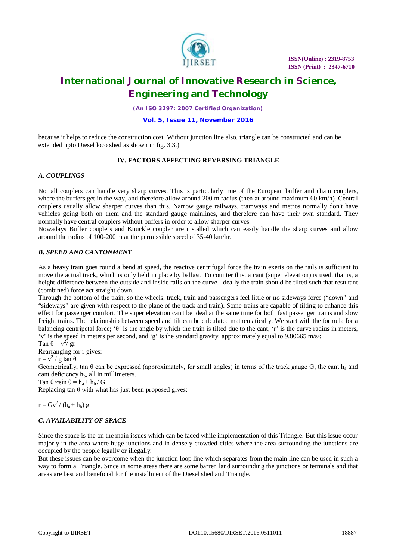

*(An ISO 3297: 2007 Certified Organization)*

### **Vol. 5, Issue 11, November 2016**

because it helps to reduce the construction cost. Without junction line also, triangle can be constructed and can be extended upto Diesel loco shed as shown in fig. 3.3.)

### **IV. FACTORS AFFECTING REVERSING TRIANGLE**

### *A. COUPLINGS*

Not all couplers can handle very sharp curves. This is particularly true of the European buffer and chain couplers, where the buffers get in the way, and therefore allow around 200 m radius (then at around maximum 60 km/h). Central couplers usually allow sharper curves than this. Narrow gauge railways, tramways and metros normally don't have vehicles going both on them and the standard gauge mainlines, and therefore can have their own standard. They normally have central couplers without buffers in order to allow sharper curves.

Nowadays Buffer couplers and Knuckle coupler are installed which can easily handle the sharp curves and allow around the radius of 100-200 m at the permissible speed of 35-40 km/hr.

### *B. SPEED AND CANTONMENT*

As a heavy train goes round a bend at speed, the reactive centrifugal force the train exerts on the rails is sufficient to move the actual track, which is only held in place by ballast. To counter this, a cant (super elevation) is used, that is, a height difference between the outside and inside rails on the curve. Ideally the train should be tilted such that resultant (combined) force act straight down.

Through the bottom of the train, so the wheels, track, train and passengers feel little or no sideways force ("down" and "sideways" are given with respect to the plane of the track and train). Some trains are capable of tilting to enhance this effect for passenger comfort. The super elevation can't be ideal at the same time for both fast passenger trains and slow freight trains. The relationship between speed and tilt can be calculated mathematically. We start with the formula for a balancing centripetal force; ' $\theta$ ' is the angle by which the train is tilted due to the cant, 'r' is the curve radius in meters, 'v' is the speed in meters per second, and 'g' is the standard gravity, approximately equal to 9.80665 m/s²:

Tan  $\theta = v^2/gr$ 

Rearranging for r gives:

 $r = v^2 / g \tan \theta$ 

Geometrically, tan  $\theta$  can be expressed (approximately, for small angles) in terms of the track gauge G, the cant  $h_a$  and cant deficiency  $h_b$ , all in millimeters.

Tan  $\theta \approx \sin \theta = h_a + h_b / G$ 

Replacing tan  $\theta$  with what has just been proposed gives:

 $r = Gv^2/(h_a + h_b)$  g

### *C. AVAILABILITY OF SPACE*

Since the space is the on the main issues which can be faced while implementation of this Triangle. But this issue occur majorly in the area where huge junctions and in densely crowded cities where the area surrounding the junctions are occupied by the people legally or illegally.

But these issues can be overcome when the junction loop line which separates from the main line can be used in such a way to form a Triangle. Since in some areas there are some barren land surrounding the junctions or terminals and that areas are best and beneficial for the installment of the Diesel shed and Triangle.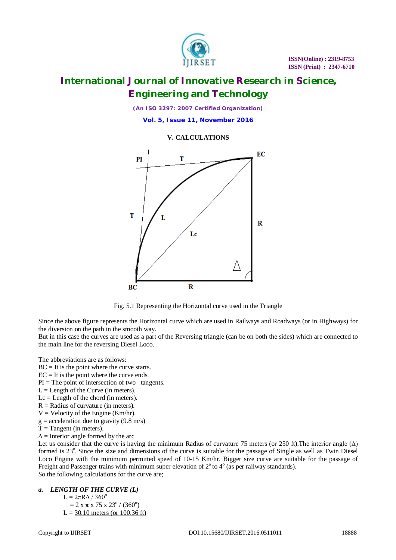

*(An ISO 3297: 2007 Certified Organization)*

**Vol. 5, Issue 11, November 2016**

### **V. CALCULATIONS**



Fig. 5.1 Representing the Horizontal curve used in the Triangle

Since the above figure represents the Horizontal curve which are used in Railways and Roadways (or in Highways) for the diversion on the path in the smooth way.

But in this case the curves are used as a part of the Reversing triangle (can be on both the sides) which are connected to the main line for the reversing Diesel Loco.

The abbreviations are as follows:

- $BC = It$  is the point where the curve starts.
- $EC = It$  is the point where the curve ends.
- $PI = The point of intersection of two tangents.$
- $L =$  Length of the Curve (in meters).
- $Lc =$  Length of the chord (in meters).
- $R =$  Radius of curvature (in meters).
- $V =$  Velocity of the Engine (Km/hr).
- $g =$  acceleration due to gravity (9.8 m/s)
- $T = Tangent (in meters)$ .
- $\Delta$  = Interior angle formed by the arc

Let us consider that the curve is having the minimum Radius of curvature 75 meters (or 250 ft). The interior angle  $(\Delta)$ formed is 23°. Since the size and dimensions of the curve is suitable for the passage of Single as well as Twin Diesel Loco Engine with the minimum permitted speed of 10-15 Km/hr. Bigger size curve are suitable for the passage of Freight and Passenger trains with minimum super elevation of  $2^{\circ}$  to  $4^{\circ}$  (as per railway standards). So the following calculations for the curve are;

#### *a. LENGTH OF THE CURVE (L)*

 $L = 2πRΔ / 360°$ 

 $= 2 x \pi x 75 x 23^{\circ} / (360^{\circ})$  $L = 30.10$  meters (or 100.36 ft)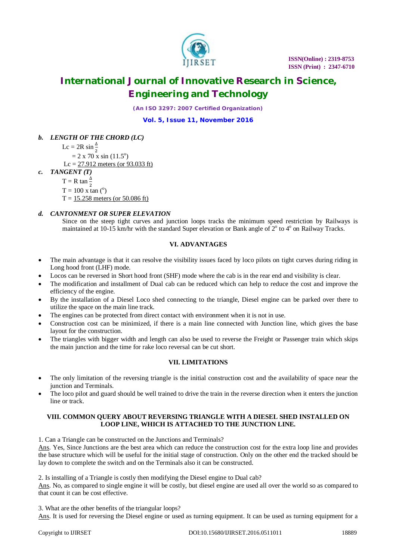

*(An ISO 3297: 2007 Certified Organization)*

**Vol. 5, Issue 11, November 2016**

# *b. LENGTH OF THE CHORD (LC)*

Lc = 2R sin $\frac{\Delta}{2}$  $= 2 \times 70 \times \sin(11.5^\circ)$ Lc = 27.912 meters (or 93.033 ft) *c. TANGENT (T)*  $T = R \tan \frac{\Delta}{2}$  $T = 100$  x tan  $(°)$  $T = 15.258$  meters (or 50.086 ft)

# *d. CANTONMENT OR SUPER ELEVATION*

Since on the steep tight curves and junction loops tracks the minimum speed restriction by Railways is maintained at 10-15 km/hr with the standard Super elevation or Bank angle of  $2^{\circ}$  to  $4^{\circ}$  on Railway Tracks.

### **VI. ADVANTAGES**

- The main advantage is that it can resolve the visibility issues faced by loco pilots on tight curves during riding in Long hood front (LHF) mode.
- Locos can be reversed in Short hood front (SHF) mode where the cab is in the rear end and visibility is clear.
- The modification and installment of Dual cab can be reduced which can help to reduce the cost and improve the efficiency of the engine.
- By the installation of a Diesel Loco shed connecting to the triangle, Diesel engine can be parked over there to utilize the space on the main line track.
- The engines can be protected from direct contact with environment when it is not in use.
- Construction cost can be minimized, if there is a main line connected with Junction line, which gives the base layout for the construction.
- The triangles with bigger width and length can also be used to reverse the Freight or Passenger train which skips the main junction and the time for rake loco reversal can be cut short.

# **VII. LIMITATIONS**

- The only limitation of the reversing triangle is the initial construction cost and the availability of space near the junction and Terminals.
- The loco pilot and guard should be well trained to drive the train in the reverse direction when it enters the junction line or track.

### **VIII. COMMON QUERY ABOUT REVERSING TRIANGLE WITH A DIESEL SHED INSTALLED ON LOOP LINE, WHICH IS ATTACHED TO THE JUNCTION LINE.**

1. Can a Triangle can be constructed on the Junctions and Terminals?

Ans. Yes, Since Junctions are the best area which can reduce the construction cost for the extra loop line and provides the base structure which will be useful for the initial stage of construction. Only on the other end the tracked should be lay down to complete the switch and on the Terminals also it can be constructed.

2. Is installing of a Triangle is costly then modifying the Diesel engine to Dual cab?

Ans. No, as compared to single engine it will be costly, but diesel engine are used all over the world so as compared to that count it can be cost effective.

3. What are the other benefits of the triangular loops?

Ans. It is used for reversing the Diesel engine or used as turning equipment. It can be used as turning equipment for a